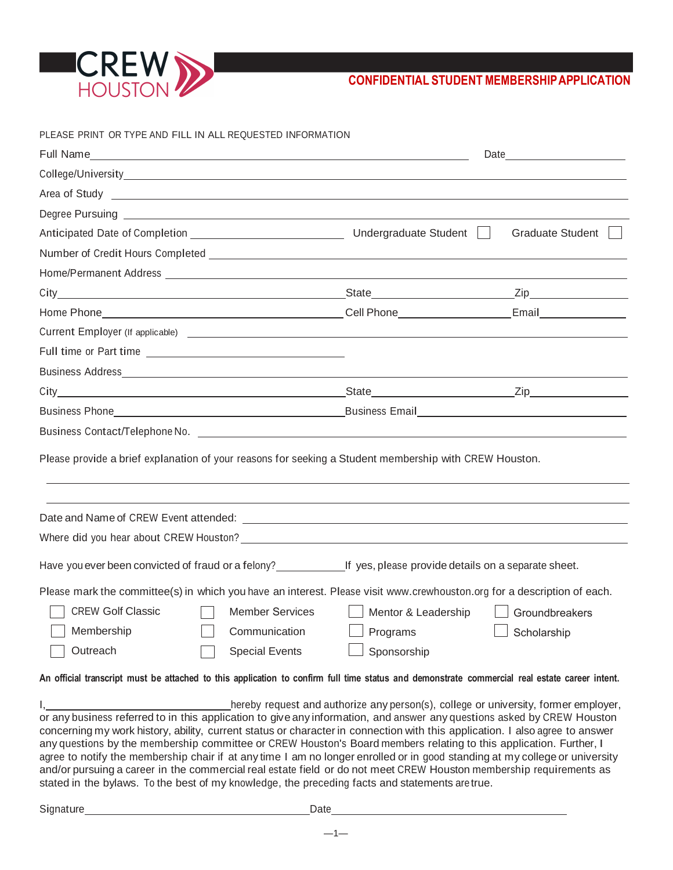

| PLEASE PRINT OR TYPE AND FILL IN ALL REQUESTED INFORMATION                                                                                                                                                                                                                                                                                                                                                                                                                                                                                                                                                                                                                                                                                                                                                                    |                     |                         |
|-------------------------------------------------------------------------------------------------------------------------------------------------------------------------------------------------------------------------------------------------------------------------------------------------------------------------------------------------------------------------------------------------------------------------------------------------------------------------------------------------------------------------------------------------------------------------------------------------------------------------------------------------------------------------------------------------------------------------------------------------------------------------------------------------------------------------------|---------------------|-------------------------|
|                                                                                                                                                                                                                                                                                                                                                                                                                                                                                                                                                                                                                                                                                                                                                                                                                               |                     |                         |
|                                                                                                                                                                                                                                                                                                                                                                                                                                                                                                                                                                                                                                                                                                                                                                                                                               |                     |                         |
| Area of Study <u>example and the set of the set of the set of the set of the set of the set of the set of the set of the set of the set of the set of the set of the set of the set of the set of the set of the set of the set </u>                                                                                                                                                                                                                                                                                                                                                                                                                                                                                                                                                                                          |                     |                         |
|                                                                                                                                                                                                                                                                                                                                                                                                                                                                                                                                                                                                                                                                                                                                                                                                                               |                     |                         |
|                                                                                                                                                                                                                                                                                                                                                                                                                                                                                                                                                                                                                                                                                                                                                                                                                               |                     | <b>Graduate Student</b> |
|                                                                                                                                                                                                                                                                                                                                                                                                                                                                                                                                                                                                                                                                                                                                                                                                                               |                     |                         |
|                                                                                                                                                                                                                                                                                                                                                                                                                                                                                                                                                                                                                                                                                                                                                                                                                               |                     |                         |
|                                                                                                                                                                                                                                                                                                                                                                                                                                                                                                                                                                                                                                                                                                                                                                                                                               |                     |                         |
|                                                                                                                                                                                                                                                                                                                                                                                                                                                                                                                                                                                                                                                                                                                                                                                                                               |                     |                         |
|                                                                                                                                                                                                                                                                                                                                                                                                                                                                                                                                                                                                                                                                                                                                                                                                                               |                     |                         |
|                                                                                                                                                                                                                                                                                                                                                                                                                                                                                                                                                                                                                                                                                                                                                                                                                               |                     |                         |
|                                                                                                                                                                                                                                                                                                                                                                                                                                                                                                                                                                                                                                                                                                                                                                                                                               |                     |                         |
|                                                                                                                                                                                                                                                                                                                                                                                                                                                                                                                                                                                                                                                                                                                                                                                                                               |                     |                         |
|                                                                                                                                                                                                                                                                                                                                                                                                                                                                                                                                                                                                                                                                                                                                                                                                                               |                     |                         |
| Business Contact/Telephone No. 2008 2012 2022 2023 2024 2022 2023 2024 2022 2023 2024 2022 2023 2024                                                                                                                                                                                                                                                                                                                                                                                                                                                                                                                                                                                                                                                                                                                          |                     |                         |
| Please provide a brief explanation of your reasons for seeking a Student membership with CREW Houston.                                                                                                                                                                                                                                                                                                                                                                                                                                                                                                                                                                                                                                                                                                                        |                     |                         |
|                                                                                                                                                                                                                                                                                                                                                                                                                                                                                                                                                                                                                                                                                                                                                                                                                               |                     |                         |
|                                                                                                                                                                                                                                                                                                                                                                                                                                                                                                                                                                                                                                                                                                                                                                                                                               |                     |                         |
| Have you ever been convicted of fraud or a felony?<br>If yes, please provide details on a separate sheet.                                                                                                                                                                                                                                                                                                                                                                                                                                                                                                                                                                                                                                                                                                                     |                     |                         |
| Please mark the committee(s) in which you have an interest. Please visit www.crewhouston.org for a description of each.                                                                                                                                                                                                                                                                                                                                                                                                                                                                                                                                                                                                                                                                                                       |                     |                         |
| <b>CREW Golf Classic</b><br><b>Member Services</b>                                                                                                                                                                                                                                                                                                                                                                                                                                                                                                                                                                                                                                                                                                                                                                            | Mentor & Leadership | Groundbreakers          |
| Membership<br>Communication                                                                                                                                                                                                                                                                                                                                                                                                                                                                                                                                                                                                                                                                                                                                                                                                   | Programs            | Scholarship             |
| Outreach<br><b>Special Events</b>                                                                                                                                                                                                                                                                                                                                                                                                                                                                                                                                                                                                                                                                                                                                                                                             | Sponsorship         |                         |
| An official transcript must be attached to this application to confirm full time status and demonstrate commercial real estate career intent.                                                                                                                                                                                                                                                                                                                                                                                                                                                                                                                                                                                                                                                                                 |                     |                         |
| hereby request and authorize any person(s), college or university, former employer,<br>or any business referred to in this application to give any information, and answer any questions asked by CREW Houston<br>concerning my work history, ability, current status or character in connection with this application. I also agree to answer<br>any questions by the membership committee or CREW Houston's Board members relating to this application. Further, I<br>agree to notify the membership chair if at any time I am no longer enrolled or in good standing at my college or university<br>and/or pursuing a career in the commercial real estate field or do not meet CREW Houston membership requirements as<br>stated in the bylaws. To the best of my knowledge, the preceding facts and statements are true. |                     |                         |

—1—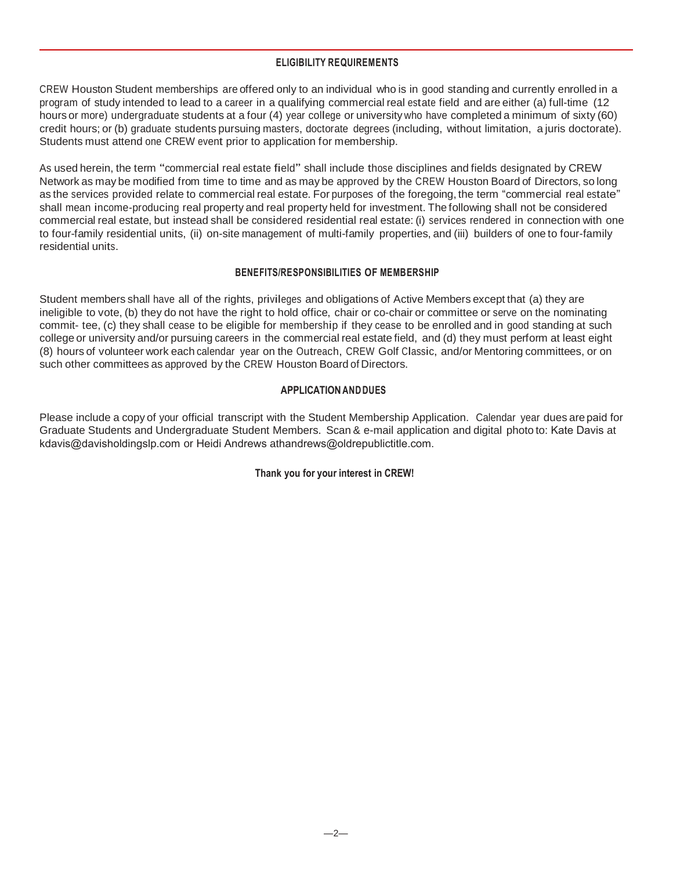# **ELIGIBILITY REQUIREMENTS**

CREW Houston Student memberships are offered only to an individual who is in good standing and currently enrolled in a program of study intended to lead to a career in a qualifying commercial real estate field and are either (a) full-time (12 hours or more) undergraduate students at a four (4) year college or university who have completed a minimum of sixty (60) credit hours; or (b) graduate students pursuing masters, doctorate degrees (including, without limitation, a juris doctorate). Students must attend one CREW event prior to application for membership.

As used herein, the term "commercial real estate field" shall include those disciplines and fields designated by CREW Network as may be modified from time to time and as may be approved by the CREW Houston Board of Directors, so long as the services provided relate to commercial real estate. For purposes of the foregoing, the term "commercial real estate" shall mean income-producing real property and real property held for investment. The following shall not be considered commercial real estate, but instead shall be considered residential real estate: (i) services rendered in connection with one to four-family residential units, (ii) on-site management of multi-family properties, and (iii) builders of one to four-family residential units.

# **BENEFITS/RESPONSIBILITIES OF MEMBERSHIP**

Student members shall have all of the rights, privileges and obligations of Active Members except that (a) they are ineligible to vote, (b) they do not have the right to hold office, chair or co-chair or committee or serve on the nominating commit- tee, (c) they shall cease to be eligible for membership if they cease to be enrolled and in good standing at such college or university and/or pursuing careers in the commercial real estate field, and (d) they must perform at least eight (8) hours of volunteer work each calendar year on the Outreach, CREW Golf Classic, and/or Mentoring committees, or on such other committees as approved by the CREW Houston Board of Directors.

# **APPLICATION ANDDUES**

Please include a copy of your official transcript with the Student Membership Application. Calendar year dues are paid for Graduate Students and Undergraduate Student Members. Scan & e-mail application and digital photo to: Kate Davis at [kdavis@davisholdingslp.com](mailto:michelle@gejproperties.com) or Heidi Andrews athandrews@oldrepubli[ctitle.com.](mailto:juanita.sanchez@bxs.com)

### **Thank you for your interest in CREW!**